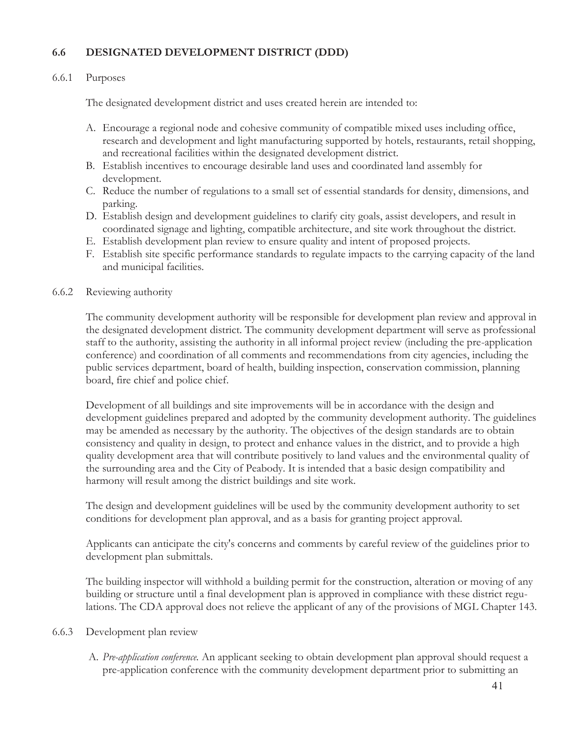# **6.6 DESIGNATED DEVELOPMENT DISTRICT (DDD)**

#### 6.6.1 Purposes

The designated development district and uses created herein are intended to:

- A. Encourage a regional node and cohesive community of compatible mixed uses including office, research and development and light manufacturing supported by hotels, restaurants, retail shopping, and recreational facilities within the designated development district.
- B. Establish incentives to encourage desirable land uses and coordinated land assembly for development.
- C. Reduce the number of regulations to a small set of essential standards for density, dimensions, and parking.
- D. Establish design and development guidelines to clarify city goals, assist developers, and result in coordinated signage and lighting, compatible architecture, and site work throughout the district.
- E. Establish development plan review to ensure quality and intent of proposed projects.
- F. Establish site specific performance standards to regulate impacts to the carrying capacity of the land and municipal facilities.

### 6.6.2 Reviewing authority

The community development authority will be responsible for development plan review and approval in the designated development district. The community development department will serve as professional staff to the authority, assisting the authority in all informal project review (including the pre-application conference) and coordination of all comments and recommendations from city agencies, including the public services department, board of health, building inspection, conservation commission, planning board, fire chief and police chief.

Development of all buildings and site improvements will be in accordance with the design and development guidelines prepared and adopted by the community development authority. The guidelines may be amended as necessary by the authority. The objectives of the design standards are to obtain consistency and quality in design, to protect and enhance values in the district, and to provide a high quality development area that will contribute positively to land values and the environmental quality of the surrounding area and the City of Peabody. It is intended that a basic design compatibility and harmony will result among the district buildings and site work.

The design and development guidelines will be used by the community development authority to set conditions for development plan approval, and as a basis for granting project approval.

Applicants can anticipate the city's concerns and comments by careful review of the guidelines prior to development plan submittals.

The building inspector will withhold a building permit for the construction, alteration or moving of any building or structure until a final development plan is approved in compliance with these district regulations. The CDA approval does not relieve the applicant of any of the provisions of MGL Chapter 143.

#### 6.6.3 Development plan review

 A. *Pre-application conference.* An applicant seeking to obtain development plan approval should request a pre-application conference with the community development department prior to submitting an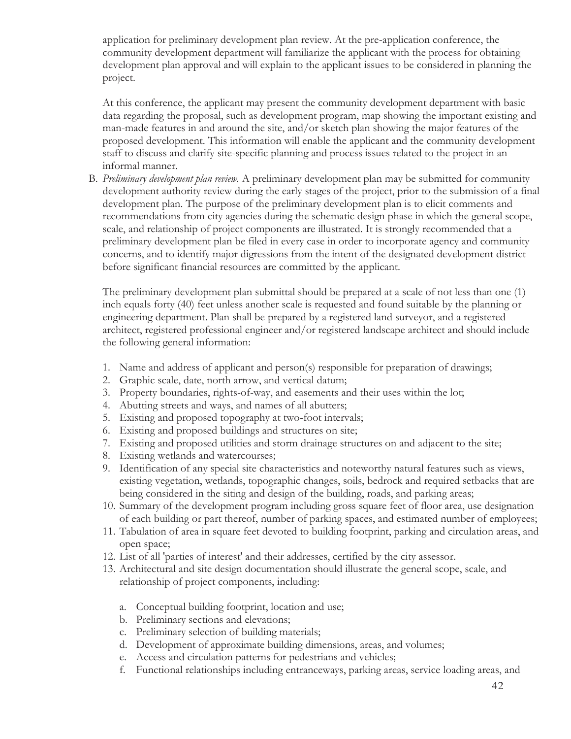application for preliminary development plan review. At the pre-application conference, the community development department will familiarize the applicant with the process for obtaining development plan approval and will explain to the applicant issues to be considered in planning the project.

 At this conference, the applicant may present the community development department with basic data regarding the proposal, such as development program, map showing the important existing and man-made features in and around the site, and/or sketch plan showing the major features of the proposed development. This information will enable the applicant and the community development staff to discuss and clarify site-specific planning and process issues related to the project in an informal manner.

 B. *Preliminary development plan review.* A preliminary development plan may be submitted for community development authority review during the early stages of the project, prior to the submission of a final development plan. The purpose of the preliminary development plan is to elicit comments and recommendations from city agencies during the schematic design phase in which the general scope, scale, and relationship of project components are illustrated. It is strongly recommended that a preliminary development plan be filed in every case in order to incorporate agency and community concerns, and to identify major digressions from the intent of the designated development district before significant financial resources are committed by the applicant.

 The preliminary development plan submittal should be prepared at a scale of not less than one (1) inch equals forty (40) feet unless another scale is requested and found suitable by the planning or engineering department. Plan shall be prepared by a registered land surveyor, and a registered architect, registered professional engineer and/or registered landscape architect and should include the following general information:

- 1. Name and address of applicant and person(s) responsible for preparation of drawings;
- 2. Graphic scale, date, north arrow, and vertical datum;
- 3. Property boundaries, rights-of-way, and easements and their uses within the lot;
- 4. Abutting streets and ways, and names of all abutters;
- 5. Existing and proposed topography at two-foot intervals;
- 6. Existing and proposed buildings and structures on site;
- 7. Existing and proposed utilities and storm drainage structures on and adjacent to the site;
- 8. Existing wetlands and watercourses;
- 9. Identification of any special site characteristics and noteworthy natural features such as views, existing vegetation, wetlands, topographic changes, soils, bedrock and required setbacks that are being considered in the siting and design of the building, roads, and parking areas;
- 10. Summary of the development program including gross square feet of floor area, use designation of each building or part thereof, number of parking spaces, and estimated number of employees;
- 11. Tabulation of area in square feet devoted to building footprint, parking and circulation areas, and open space;
- 12. List of all 'parties of interest' and their addresses, certified by the city assessor.
- 13. Architectural and site design documentation should illustrate the general scope, scale, and relationship of project components, including:
	- a. Conceptual building footprint, location and use;
	- b. Preliminary sections and elevations;
	- c. Preliminary selection of building materials;
	- d. Development of approximate building dimensions, areas, and volumes;
	- e. Access and circulation patterns for pedestrians and vehicles;
	- f. Functional relationships including entranceways, parking areas, service loading areas, and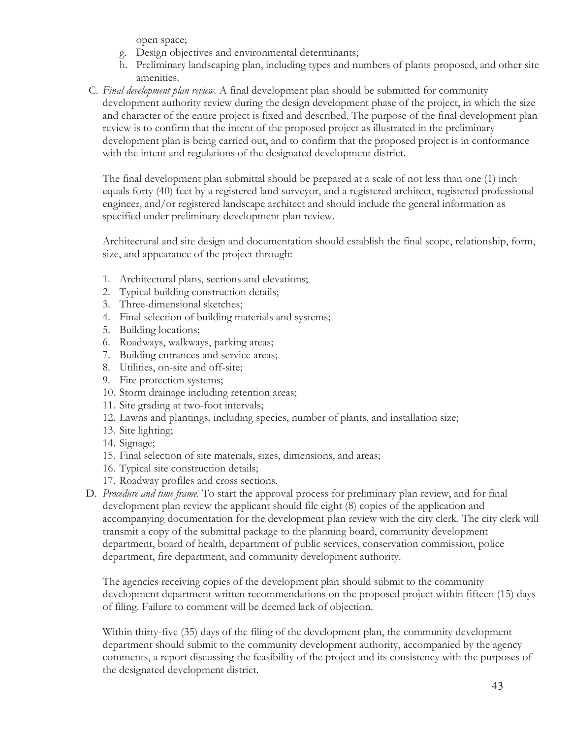open space;

- g. Design objectives and environmental determinants;
- h. Preliminary landscaping plan, including types and numbers of plants proposed, and other site amenities.
- C. *Final development plan review.* A final development plan should be submitted for community development authority review during the design development phase of the project, in which the size and character of the entire project is fixed and described. The purpose of the final development plan review is to confirm that the intent of the proposed project as illustrated in the preliminary development plan is being carried out, and to confirm that the proposed project is in conformance with the intent and regulations of the designated development district.

The final development plan submittal should be prepared at a scale of not less than one (1) inch equals forty (40) feet by a registered land surveyor, and a registered architect, registered professional engineer, and/or registered landscape architect and should include the general information as specified under preliminary development plan review.

Architectural and site design and documentation should establish the final scope, relationship, form, size, and appearance of the project through:

- 1. Architectural plans, sections and elevations;
- 2. Typical building construction details;
- 3. Three-dimensional sketches;
- 4. Final selection of building materials and systems;
- 5. Building locations;
- 6. Roadways, walkways, parking areas;
- 7. Building entrances and service areas;
- 8. Utilities, on-site and off-site;
- 9. Fire protection systems;
- 10. Storm drainage including retention areas;
- 11. Site grading at two-foot intervals;
- 12. Lawns and plantings, including species, number of plants, and installation size;
- 13. Site lighting;
- 14. Signage;
- 15. Final selection of site materials, sizes, dimensions, and areas;
- 16. Typical site construction details;
- 17. Roadway profiles and cross sections.
- D. *Procedure and time frame.* To start the approval process for preliminary plan review, and for final development plan review the applicant should file eight (8) copies of the application and accompanying documentation for the development plan review with the city clerk. The city clerk will transmit a copy of the submittal package to the planning board, community development department, board of health, department of public services, conservation commission, police department, fire department, and community development authority.

The agencies receiving copies of the development plan should submit to the community development department written recommendations on the proposed project within fifteen (15) days of filing. Failure to comment will be deemed lack of objection.

Within thirty-five (35) days of the filing of the development plan, the community development department should submit to the community development authority, accompanied by the agency comments, a report discussing the feasibility of the project and its consistency with the purposes of the designated development district.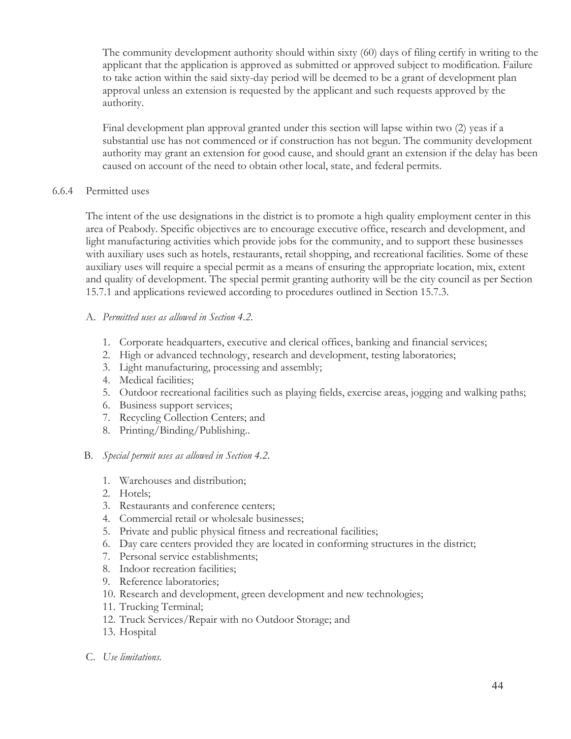The community development authority should within sixty (60) days of filing certify in writing to the applicant that the application is approved as submitted or approved subject to modification. Failure to take action within the said sixty-day period will be deemed to be a grant of development plan approval unless an extension is requested by the applicant and such requests approved by the authority.

Final development plan approval granted under this section will lapse within two (2) yeas if a substantial use has not commenced or if construction has not begun. The community development authority may grant an extension for good cause, and should grant an extension if the delay has been caused on account of the need to obtain other local, state, and federal permits.

### 6.6.4 Permitted uses

The intent of the use designations in the district is to promote a high quality employment center in this area of Peabody. Specific objectives are to encourage executive office, research and development, and light manufacturing activities which provide jobs for the community, and to support these businesses with auxiliary uses such as hotels, restaurants, retail shopping, and recreational facilities. Some of these auxiliary uses will require a special permit as a means of ensuring the appropriate location, mix, extent and quality of development. The special permit granting authority will be the city council as per Section 15.7.1 and applications reviewed according to procedures outlined in Section 15.7.3.

### A. *Permitted uses as allowed in Section 4.2.*

- 1. Corporate headquarters, executive and clerical offices, banking and financial services;
- 2. High or advanced technology, research and development, testing laboratories;
- 3. Light manufacturing, processing and assembly;
- 4. Medical facilities;
- 5. Outdoor recreational facilities such as playing fields, exercise areas, jogging and walking paths;
- 6. Business support services;
- 7. Recycling Collection Centers; and
- 8. Printing/Binding/Publishing..

## B. *Special permit uses as allowed in Section 4.2.*

- 1. Warehouses and distribution;
- 2. Hotels;
- 3. Restaurants and conference centers;
- 4. Commercial retail or wholesale businesses;
- 5. Private and public physical fitness and recreational facilities;
- 6. Day care centers provided they are located in conforming structures in the district;
- 7. Personal service establishments;
- 8. Indoor recreation facilities;
- 9. Reference laboratories;
- 10. Research and development, green development and new technologies;
- 11. Trucking Terminal;
- 12. Truck Services/Repair with no Outdoor Storage; and
- 13. Hospital
- C. *Use limitations.*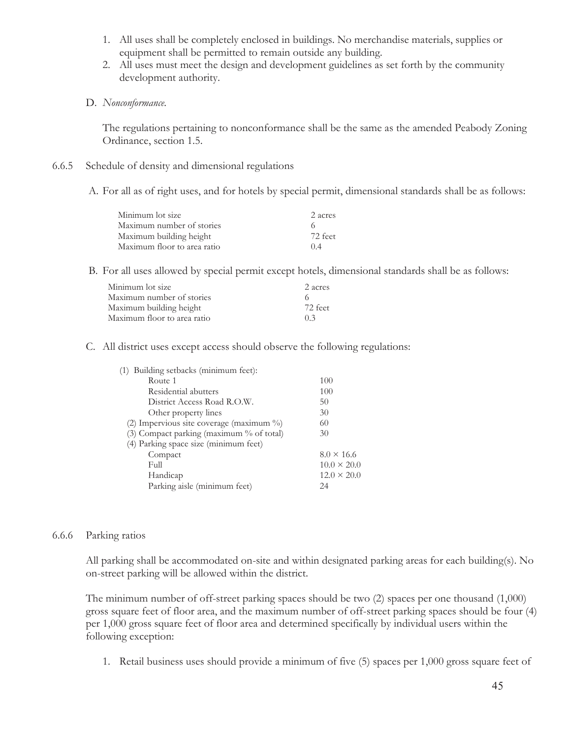- 1. All uses shall be completely enclosed in buildings. No merchandise materials, supplies or equipment shall be permitted to remain outside any building.
- 2. All uses must meet the design and development guidelines as set forth by the community development authority.
- D. *Nonconformance.*

The regulations pertaining to nonconformance shall be the same as the amended Peabody Zoning Ordinance, section 1.5.

- 6.6.5 Schedule of density and dimensional regulations
	- A. For all as of right uses, and for hotels by special permit, dimensional standards shall be as follows:

| Minimum lot size            | 2 acres |
|-----------------------------|---------|
| Maximum number of stories   |         |
| Maximum building height     | 72 feet |
| Maximum floor to area ratio | 04      |

B. For all uses allowed by special permit except hotels, dimensional standards shall be as follows:

| Minimum lot size            | 2 acres |
|-----------------------------|---------|
| Maximum number of stories   |         |
| Maximum building height     | 72 feet |
| Maximum floor to area ratio | 03      |

C. All district uses except access should observe the following regulations:

| (1) Building setbacks (minimum feet):    |                    |
|------------------------------------------|--------------------|
| Route 1                                  | 100                |
| Residential abutters                     | 100                |
| District Access Road R.O.W.              | 50                 |
| Other property lines                     | 30                 |
| (2) Impervious site coverage (maximum %) | 60                 |
| (3) Compact parking (maximum % of total) | 30                 |
| (4) Parking space size (minimum feet)    |                    |
| Compact                                  | $8.0 \times 16.6$  |
| Full                                     | $10.0 \times 20.0$ |
| Handicap                                 | $12.0 \times 20.0$ |
| Parking aisle (minimum feet)             | 24                 |
|                                          |                    |

#### 6.6.6 Parking ratios

All parking shall be accommodated on-site and within designated parking areas for each building(s). No on-street parking will be allowed within the district.

The minimum number of off-street parking spaces should be two (2) spaces per one thousand (1,000) gross square feet of floor area, and the maximum number of off-street parking spaces should be four (4) per 1,000 gross square feet of floor area and determined specifically by individual users within the following exception:

1. Retail business uses should provide a minimum of five (5) spaces per 1,000 gross square feet of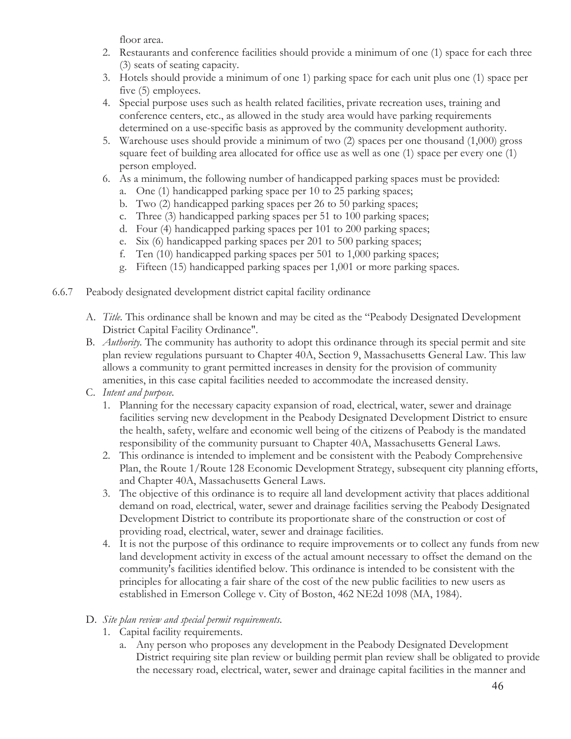floor area.

- 2. Restaurants and conference facilities should provide a minimum of one (1) space for each three (3) seats of seating capacity.
- 3. Hotels should provide a minimum of one 1) parking space for each unit plus one (1) space per five (5) employees.
- 4. Special purpose uses such as health related facilities, private recreation uses, training and conference centers, etc., as allowed in the study area would have parking requirements determined on a use-specific basis as approved by the community development authority.
- 5. Warehouse uses should provide a minimum of two (2) spaces per one thousand (1,000) gross square feet of building area allocated for office use as well as one (1) space per every one (1) person employed.
- 6. As a minimum, the following number of handicapped parking spaces must be provided:
	- a. One (1) handicapped parking space per 10 to 25 parking spaces;
	- b. Two (2) handicapped parking spaces per 26 to 50 parking spaces;
	- c. Three (3) handicapped parking spaces per 51 to 100 parking spaces;
	- d. Four (4) handicapped parking spaces per 101 to 200 parking spaces;
	- e. Six (6) handicapped parking spaces per 201 to 500 parking spaces;
	- f. Ten (10) handicapped parking spaces per 501 to 1,000 parking spaces;
	- g. Fifteen (15) handicapped parking spaces per 1,001 or more parking spaces.
- 6.6.7 Peabody designated development district capital facility ordinance
	- A. *Title.* This ordinance shall be known and may be cited as the "Peabody Designated Development District Capital Facility Ordinance".
	- B. *Authority.* The community has authority to adopt this ordinance through its special permit and site plan review regulations pursuant to Chapter 40A, Section 9, Massachusetts General Law. This law allows a community to grant permitted increases in density for the provision of community amenities, in this case capital facilities needed to accommodate the increased density.
	- C. *Intent and purpose.*
		- 1. Planning for the necessary capacity expansion of road, electrical, water, sewer and drainage facilities serving new development in the Peabody Designated Development District to ensure the health, safety, welfare and economic well being of the citizens of Peabody is the mandated responsibility of the community pursuant to Chapter 40A, Massachusetts General Laws.
		- 2. This ordinance is intended to implement and be consistent with the Peabody Comprehensive Plan, the Route 1/Route 128 Economic Development Strategy, subsequent city planning efforts, and Chapter 40A, Massachusetts General Laws.
		- 3. The objective of this ordinance is to require all land development activity that places additional demand on road, electrical, water, sewer and drainage facilities serving the Peabody Designated Development District to contribute its proportionate share of the construction or cost of providing road, electrical, water, sewer and drainage facilities.
		- 4. It is not the purpose of this ordinance to require improvements or to collect any funds from new land development activity in excess of the actual amount necessary to offset the demand on the community's facilities identified below. This ordinance is intended to be consistent with the principles for allocating a fair share of the cost of the new public facilities to new users as established in Emerson College v. City of Boston, 462 NE2d 1098 (MA, 1984).

# D. *Site plan review and special permit requirements.*

- 1. Capital facility requirements.
	- a. Any person who proposes any development in the Peabody Designated Development District requiring site plan review or building permit plan review shall be obligated to provide the necessary road, electrical, water, sewer and drainage capital facilities in the manner and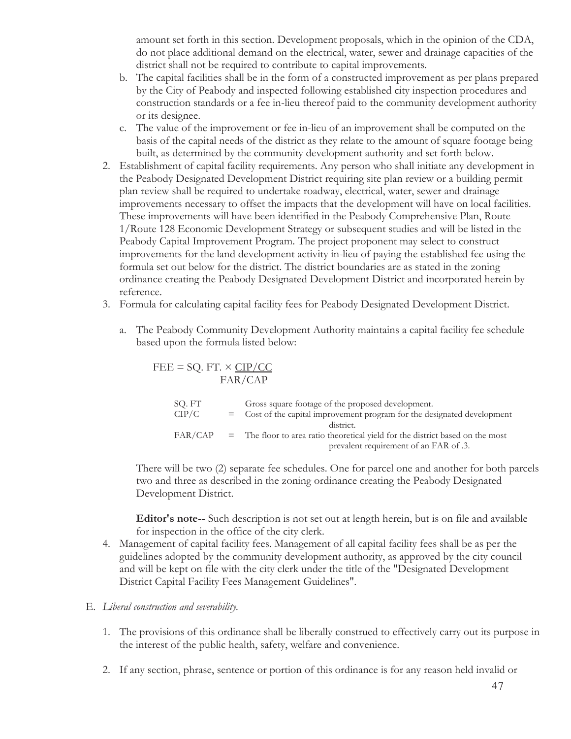amount set forth in this section. Development proposals, which in the opinion of the CDA, do not place additional demand on the electrical, water, sewer and drainage capacities of the district shall not be required to contribute to capital improvements.

- b. The capital facilities shall be in the form of a constructed improvement as per plans prepared by the City of Peabody and inspected following established city inspection procedures and construction standards or a fee in-lieu thereof paid to the community development authority or its designee.
- c. The value of the improvement or fee in-lieu of an improvement shall be computed on the basis of the capital needs of the district as they relate to the amount of square footage being built, as determined by the community development authority and set forth below.
- 2. Establishment of capital facility requirements. Any person who shall initiate any development in the Peabody Designated Development District requiring site plan review or a building permit plan review shall be required to undertake roadway, electrical, water, sewer and drainage improvements necessary to offset the impacts that the development will have on local facilities. These improvements will have been identified in the Peabody Comprehensive Plan, Route 1/Route 128 Economic Development Strategy or subsequent studies and will be listed in the Peabody Capital Improvement Program. The project proponent may select to construct improvements for the land development activity in-lieu of paying the established fee using the formula set out below for the district. The district boundaries are as stated in the zoning ordinance creating the Peabody Designated Development District and incorporated herein by reference.
- 3. Formula for calculating capital facility fees for Peabody Designated Development District.
	- a. The Peabody Community Development Authority maintains a capital facility fee schedule based upon the formula listed below:

| FEE = SQ. FT. $\times$ CIP/CC |                                                                                                                          |
|-------------------------------|--------------------------------------------------------------------------------------------------------------------------|
| FAR/CAP                       |                                                                                                                          |
| SQ. FT                        | Gross square footage of the proposed development.                                                                        |
| CIP/C                         | = Cost of the capital improvement program for the designated development<br>distinct.                                    |
| FAR/CAP                       | = The floor to area ratio theoretical yield for the district based on the most<br>prevalent requirement of an FAR of .3. |

 There will be two (2) separate fee schedules. One for parcel one and another for both parcels two and three as described in the zoning ordinance creating the Peabody Designated Development District.

 **Editor's note--** Such description is not set out at length herein, but is on file and available for inspection in the office of the city clerk.

 4. Management of capital facility fees. Management of all capital facility fees shall be as per the guidelines adopted by the community development authority, as approved by the city council and will be kept on file with the city clerk under the title of the "Designated Development District Capital Facility Fees Management Guidelines".

## E. *Liberal construction and severability.*

- 1. The provisions of this ordinance shall be liberally construed to effectively carry out its purpose in the interest of the public health, safety, welfare and convenience.
- 2. If any section, phrase, sentence or portion of this ordinance is for any reason held invalid or